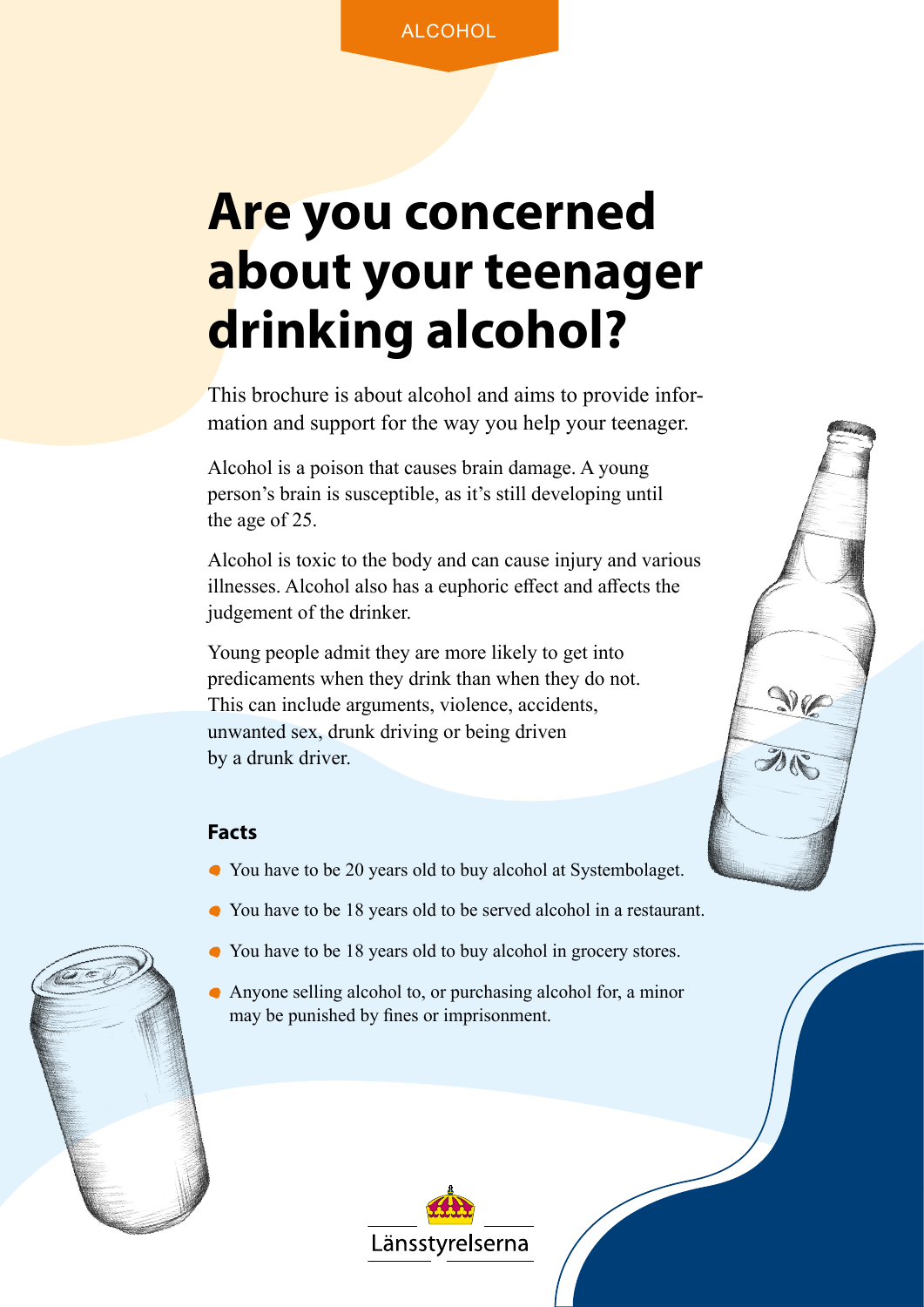### **Are you concerned about your teenager drinking alcohol?**

This brochure is about alcohol and aims to provide information and support for the way you help your teenager.

Alcohol is a poison that causes brain damage. A young person's brain is susceptible, as it's still developing until the age of 25.

Alcohol is toxic to the body and can cause injury and various illnesses. Alcohol also has a euphoric effect and affects the judgement of the drinker.

 $\mathcal{M}$ 

Young people admit they are more likely to get into predicaments when they drink than when they do not. This can include arguments, violence, accidents, unwanted sex, drunk driving or being driven by a drunk driver.

#### **Facts**

- You have to be 20 years old to buy alcohol at Systembolaget.
- You have to be 18 years old to be served alcohol in a restaurant.
- You have to be 18 years old to buy alcohol in grocery stores.
- Anyone selling alcohol to, or purchasing alcohol for, a minor may be punished by fines or imprisonment.

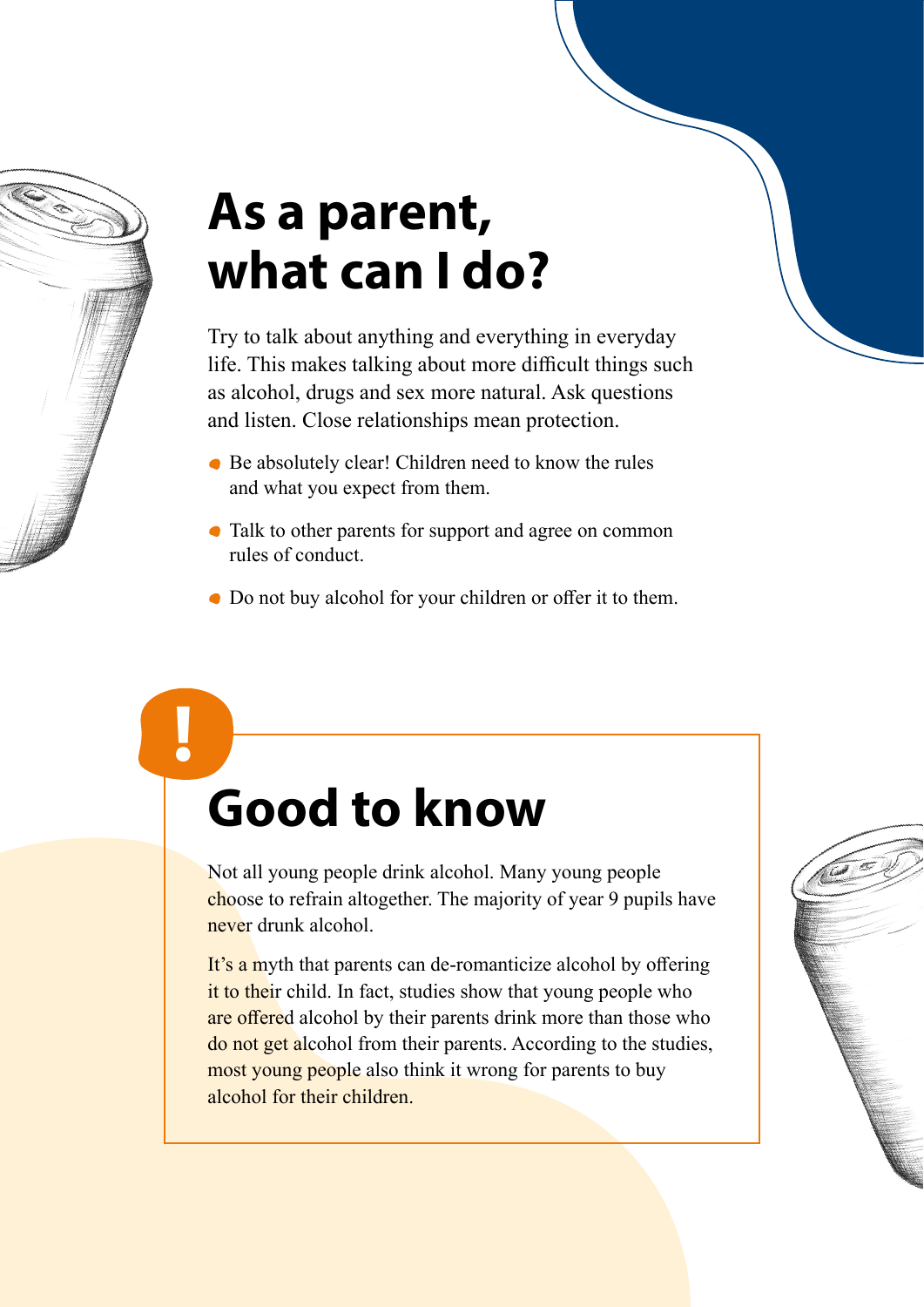

**!**

## **As a parent, what can I do?**

Try to talk about anything and everything in everyday life. This makes talking about more difficult things such as alcohol, drugs and sex more natural. Ask questions and listen. Close relationships mean protection.

- Be absolutely clear! Children need to know the rules and what you expect from them.
- Talk to other parents for support and agree on common rules of conduct.
- Do not buy alcohol for your children or offer it to them.

# **Good to know**

Not all young people drink alcohol. Many young people choose to refrain altogether. The majority of year 9 pupils have never drunk alcohol.

It's a myth that parents can de-romanticize alcohol by offering it to their child. In fact, studies show that young people who are offered alcohol by their parents drink more than those who do not get alcohol from their parents. According to the studies, most young people also think it wrong for parents to buy alcohol for their children.